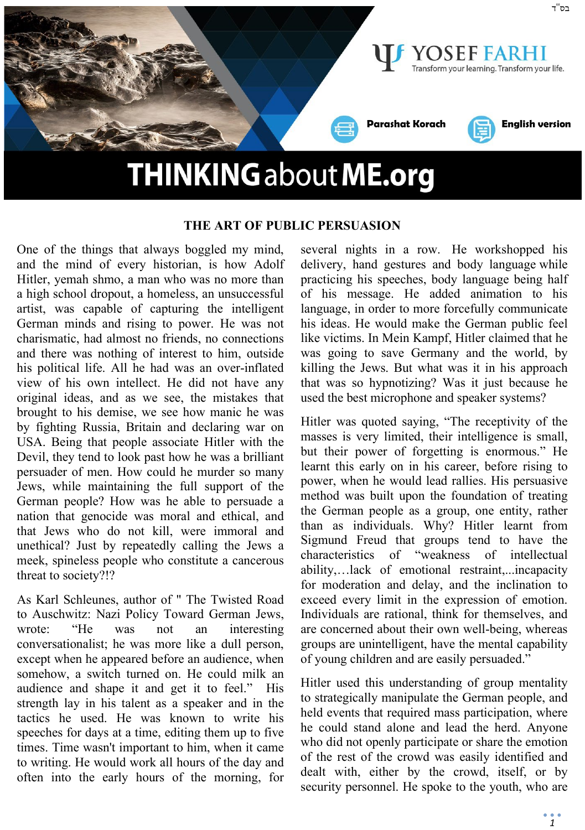

## **THE ART OF PUBLIC PERSUASION**

One of the things that always boggled my mind, and the mind of every historian, is how Adolf Hitler, yemah shmo, a man who was no more than a high school dropout, a homeless, an unsuccessful artist, was capable of capturing the intelligent German minds and rising to power. He was not charismatic, had almost no friends, no connections and there was nothing of interest to him, outside his political life. All he had was an over-inflated view of his own intellect. He did not have any original ideas, and as we see, the mistakes that brought to his demise, we see how manic he was by fighting Russia, Britain and declaring war on USA. Being that people associate Hitler with the Devil, they tend to look past how he was a brilliant persuader of men. How could he murder so many Jews, while maintaining the full support of the German people? How was he able to persuade a nation that genocide was moral and ethical, and that Jews who do not kill, were immoral and unethical? Just by repeatedly calling the Jews a meek, spineless people who constitute a cancerous threat to society?!?

As Karl Schleunes, author of " The Twisted Road to Auschwitz: Nazi Policy Toward German Jews, wrote: "He was not an interesting conversationalist; he was more like a dull person, except when he appeared before an audience, when somehow, a switch turned on. He could milk an audience and shape it and get it to feel." His strength lay in his talent as a speaker and in the tactics he used. He was known to write his speeches for days at a time, editing them up to five times. Time wasn't important to him, when it came to writing. He would work all hours of the day and often into the early hours of the morning, for

several nights in a row. He workshopped his delivery, hand gestures and body language while practicing his speeches, body language being half of his message. He added animation to his language, in order to more forcefully communicate his ideas. He would make the German public feel like victims. In Mein Kampf, Hitler claimed that he was going to save Germany and the world, by killing the Jews. But what was it in his approach that was so hypnotizing? Was it just because he used the best microphone and speaker systems?

Hitler was quoted saying, "The receptivity of the masses is very limited, their intelligence is small, but their power of forgetting is enormous." He learnt this early on in his career, before rising to power, when he would lead rallies. His persuasive method was built upon the foundation of treating the German people as a group, one entity, rather than as individuals. Why? Hitler learnt from Sigmund Freud that groups tend to have the characteristics of "weakness of intellectual ability,…lack of emotional restraint,...incapacity for moderation and delay, and the inclination to exceed every limit in the expression of emotion. Individuals are rational, think for themselves, and are concerned about their own well-being, whereas groups are unintelligent, have the mental capability of young children and are easily persuaded."

Hitler used this understanding of group mentality to strategically manipulate the German people, and held events that required mass participation, where he could stand alone and lead the herd. Anyone who did not openly participate or share the emotion of the rest of the crowd was easily identified and dealt with, either by the crowd, itself, or by security personnel. He spoke to the youth, who are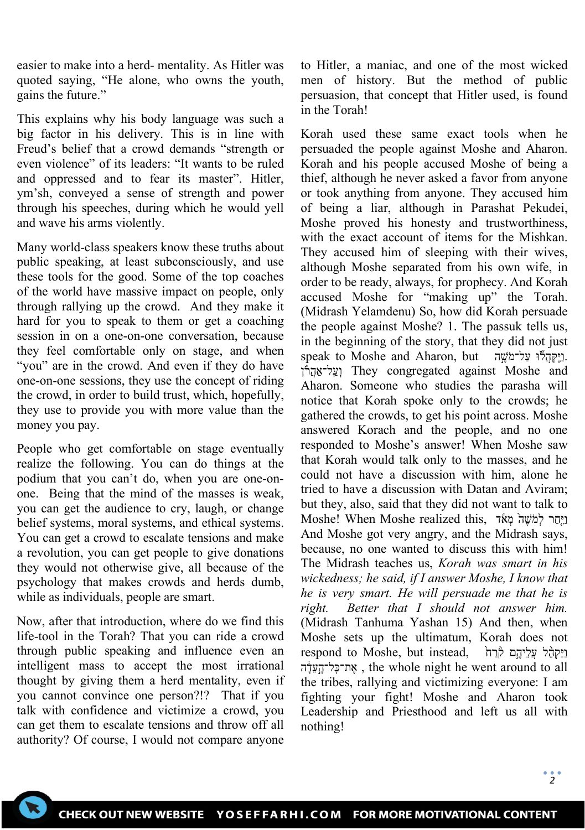easier to make into a herd- mentality. As Hitler was quoted saying, "He alone, who owns the youth, gains the future."

This explains why his body language was such a big factor in his delivery. This is in line with Freud's belief that a crowd demands "strength or even violence" of its leaders: "It wants to be ruled and oppressed and to fear its master". Hitler, ym'sh, conveyed a sense of strength and power through his speeches, during which he would yell and wave his arms violently.

Many world-class speakers know these truths about public speaking, at least subconsciously, and use these tools for the good. Some of the top coaches of the world have massive impact on people, only through rallying up the crowd. And they make it hard for you to speak to them or get a coaching session in on a one-on-one conversation, because they feel comfortable only on stage, and when "you" are in the crowd. And even if they do have one-on-one sessions, they use the concept of riding the crowd, in order to build trust, which, hopefully, they use to provide you with more value than the money you pay.

People who get comfortable on stage eventually realize the following. You can do things at the podium that you can't do, when you are one-onone. Being that the mind of the masses is weak, you can get the audience to cry, laugh, or change belief systems, moral systems, and ethical systems. You can get a crowd to escalate tensions and make a revolution, you can get people to give donations they would not otherwise give, all because of the psychology that makes crowds and herds dumb, while as individuals, people are smart.

Now, after that introduction, where do we find this life-tool in the Torah? That you can ride a crowd through public speaking and influence even an intelligent mass to accept the most irrational thought by giving them a herd mentality, even if you cannot convince one person?!? That if you talk with confidence and victimize a crowd, you can get them to escalate tensions and throw off all authority? Of course, I would not compare anyone

to Hitler, a maniac, and one of the most wicked men of history. But the method of public persuasion, that concept that Hitler used, is found in the Torah!

Korah used these same exact tools when he persuaded the people against Moshe and Aharon. Korah and his people accused Moshe of being a thief, although he never asked a favor from anyone or took anything from anyone. They accused him of being a liar, although in Parashat Pekudei, Moshe proved his honesty and trustworthiness, with the exact account of items for the Mishkan. They accused him of sleeping with their wives, although Moshe separated from his own wife, in order to be ready, always, for prophecy. And Korah accused Moshe for "making up" the Torah. (Midrash Yelamdenu) So, how did Korah persuade the people against Moshe? 1. The passuk tells us, in the beginning of the story, that they did not just **speak to Moshe and Aharon, but .** וְעֵל־אַהֵרֹן They congregated against Moshe and Aharon. Someone who studies the parasha will notice that Korah spoke only to the crowds; he gathered the crowds, to get his point across. Moshe answered Korach and the people, and no one responded to Moshe's answer! When Moshe saw that Korah would talk only to the masses, and he could not have a discussion with him, alone he tried to have a discussion with Datan and Aviram; but they, also, said that they did not want to talk to וַיְּחֵר לְמֹשֶׁהֹ מְאֹׂד ,Moshe! When Moshe realized this And Moshe got very angry, and the Midrash says, because, no one wanted to discuss this with him! The Midrash teaches us, *Korah was smart in his wickedness; he said, if I answer Moshe, I know that he is very smart. He will persuade me that he is right. Better that I should not answer him.* (Midrash Tanhuma Yashan 15) And then, when Moshe sets up the ultimatum, Korah does not respond to Moshe, but instead, וַיֵּקְהָל עֲלֵיהֱם קְּרַח ה־כָּל־הָעֲדָה, the whole night he went around to all the tribes, rallying and victimizing everyone: I am fighting your fight! Moshe and Aharon took Leadership and Priesthood and left us all with nothing!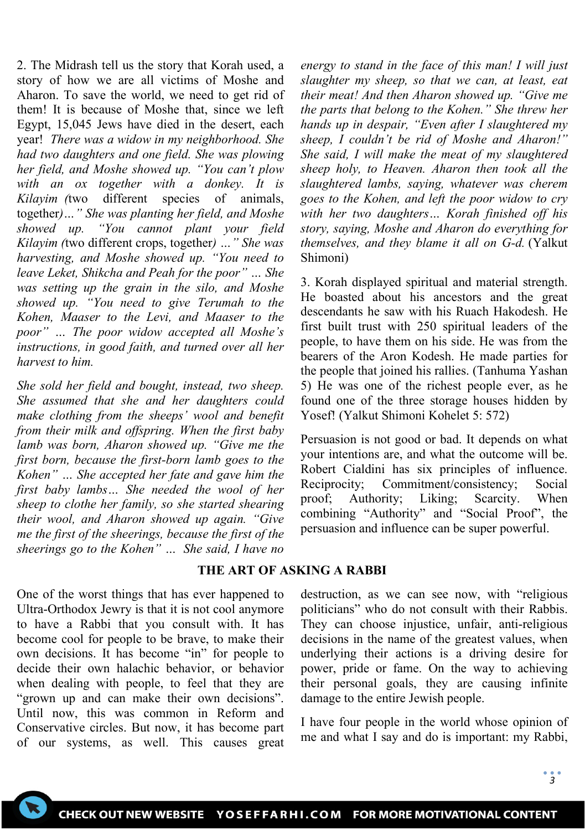2. The Midrash tell us the story that Korah used, a story of how we are all victims of Moshe and Aharon. To save the world, we need to get rid of them! It is because of Moshe that, since we left Egypt, 15,045 Jews have died in the desert, each year! *There was a widow in my neighborhood. She had two daughters and one field. She was plowing her field, and Moshe showed up. "You can't plow with an ox together with a donkey. It is Kilayim (*two different species of animals, together*)…" She was planting her field, and Moshe showed up. "You cannot plant your field Kilayim (*two different crops, together*) …" She was harvesting, and Moshe showed up. "You need to leave Leket, Shikcha and Peah for the poor" … She was setting up the grain in the silo, and Moshe showed up. "You need to give Terumah to the Kohen, Maaser to the Levi, and Maaser to the poor" … The poor widow accepted all Moshe's instructions, in good faith, and turned over all her harvest to him.*

*She sold her field and bought, instead, two sheep. She assumed that she and her daughters could make clothing from the sheeps' wool and benefit from their milk and offspring. When the first baby lamb was born, Aharon showed up. "Give me the first born, because the first-born lamb goes to the Kohen" … She accepted her fate and gave him the first baby lambs… She needed the wool of her sheep to clothe her family, so she started shearing their wool, and Aharon showed up again. "Give me the first of the sheerings, because the first of the sheerings go to the Kohen" … She said, I have no* 

One of the worst things that has ever happened to Ultra-Orthodox Jewry is that it is not cool anymore to have a Rabbi that you consult with. It has become cool for people to be brave, to make their own decisions. It has become "in" for people to decide their own halachic behavior, or behavior when dealing with people, to feel that they are "grown up and can make their own decisions". Until now, this was common in Reform and Conservative circles. But now, it has become part of our systems, as well. This causes great *energy to stand in the face of this man! I will just slaughter my sheep, so that we can, at least, eat their meat! And then Aharon showed up. "Give me the parts that belong to the Kohen." She threw her hands up in despair, "Even after I slaughtered my sheep, I couldn't be rid of Moshe and Aharon!" She said, I will make the meat of my slaughtered sheep holy, to Heaven. Aharon then took all the slaughtered lambs, saying, whatever was cherem goes to the Kohen, and left the poor widow to cry with her two daughters… Korah finished off his story, saying, Moshe and Aharon do everything for themselves, and they blame it all on G-d.* (Yalkut Shimoni)

3. Korah displayed spiritual and material strength. He boasted about his ancestors and the great descendants he saw with his Ruach Hakodesh. He first built trust with 250 spiritual leaders of the people, to have them on his side. He was from the bearers of the Aron Kodesh. He made parties for the people that joined his rallies. (Tanhuma Yashan 5) He was one of the richest people ever, as he found one of the three storage houses hidden by Yosef! (Yalkut Shimoni Kohelet 5: 572)

Persuasion is not good or bad. It depends on what your intentions are, and what the outcome will be. Robert Cialdini has six principles of influence. Reciprocity; Commitment/consistency; Social proof; Authority; Liking; Scarcity. When combining "Authority" and "Social Proof", the persuasion and influence can be super powerful.

# **THE ART OF ASKING A RABBI**

destruction, as we can see now, with "religious politicians" who do not consult with their Rabbis. They can choose injustice, unfair, anti-religious decisions in the name of the greatest values, when underlying their actions is a driving desire for power, pride or fame. On the way to achieving their personal goals, they are causing infinite damage to the entire Jewish people.

I have four people in the world whose opinion of me and what I say and do is important: my Rabbi,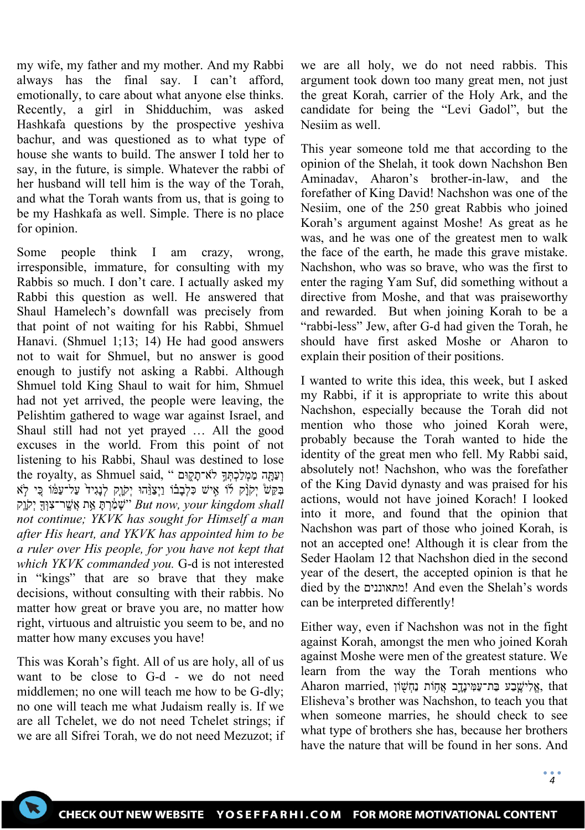my wife, my father and my mother. And my Rabbi always has the final say. I can't afford, emotionally, to care about what anyone else thinks. Recently, a girl in Shidduchim, was asked Hashkafa questions by the prospective yeshiva bachur, and was questioned as to what type of house she wants to build. The answer I told her to say, in the future, is simple. Whatever the rabbi of her husband will tell him is the way of the Torah, and what the Torah wants from us, that is going to be my Hashkafa as well. Simple. There is no place for opinion.

Some people think I am crazy, wrong, irresponsible, immature, for consulting with my Rabbis so much. I don't care. I actually asked my Rabbi this question as well. He answered that Shaul Hamelech's downfall was precisely from that point of not waiting for his Rabbi, Shmuel Hanavi. (Shmuel 1;13; 14) He had good answers not to wait for Shmuel, but no answer is good enough to justify not asking a Rabbi. Although Shmuel told King Shaul to wait for him, Shmuel had not yet arrived, the people were leaving, the Pelishtim gathered to wage war against Israel, and Shaul still had not yet prayed … All the good excuses in the world. From this point of not listening to his Rabbi, Shaul was destined to lose the royalty, as Shmuel said, " וְעַתָּה מַמְלַכְתְּךָ לֹא־תָקָוּם בִּקָּשׁ יִקְוָֿק לֿוֹ אֵישׁ כִּלְבָבוֹ וַיִצַוְּהוּ יִקְוָק לְנָגִיד<sup>ַ</sup> עַל־עַמּוֹ כֵּי לְא יִקְוָק shall "שָׁמַּ֫רִתָּ אֵ֣ת אֲשֵׁר־צִוּךְ יִקְוָק יִק*ו*ַק " *but now, your kingdom shall not continue; YKVK has sought for Himself a man after His heart, and YKVK has appointed him to be a ruler over His people, for you have not kept that which YKVK commanded you.* G-d is not interested in "kings" that are so brave that they make decisions, without consulting with their rabbis. No matter how great or brave you are, no matter how right, virtuous and altruistic you seem to be, and no matter how many excuses you have!

This was Korah's fight. All of us are holy, all of us want to be close to G-d - we do not need middlemen; no one will teach me how to be G-dly; no one will teach me what Judaism really is. If we are all Tchelet, we do not need Tchelet strings; if we are all Sifrei Torah, we do not need Mezuzot; if we are all holy, we do not need rabbis. This argument took down too many great men, not just the great Korah, carrier of the Holy Ark, and the candidate for being the "Levi Gadol", but the Nesiim as well.

This year someone told me that according to the opinion of the Shelah, it took down Nachshon Ben Aminadav, Aharon's brother-in-law, and the forefather of King David! Nachshon was one of the Nesiim, one of the 250 great Rabbis who joined Korah's argument against Moshe! As great as he was, and he was one of the greatest men to walk the face of the earth, he made this grave mistake. Nachshon, who was so brave, who was the first to enter the raging Yam Suf, did something without a directive from Moshe, and that was praiseworthy and rewarded. But when joining Korah to be a "rabbi-less" Jew, after G-d had given the Torah, he should have first asked Moshe or Aharon to explain their position of their positions.

I wanted to write this idea, this week, but I asked my Rabbi, if it is appropriate to write this about Nachshon, especially because the Torah did not mention who those who joined Korah were, probably because the Torah wanted to hide the identity of the great men who fell. My Rabbi said, absolutely not! Nachshon, who was the forefather of the King David dynasty and was praised for his actions, would not have joined Korach! I looked into it more, and found that the opinion that Nachshon was part of those who joined Korah, is not an accepted one! Although it is clear from the Seder Haolam 12 that Nachshon died in the second year of the desert, the accepted opinion is that he died by the ומתאוננים! And even the Shelah's words can be interpreted differently!

Either way, even if Nachshon was not in the fight against Korah, amongst the men who joined Korah against Moshe were men of the greatest stature. We learn from the way the Torah mentions who Aharon married, אֱלִישֱבַע בַּת־עַמִּינָדֶב אֱחָוֹת נַחָשׁוֹן ,that Elisheva's brother was Nachshon, to teach you that when someone marries, he should check to see what type of brothers she has, because her brothers have the nature that will be found in her sons. And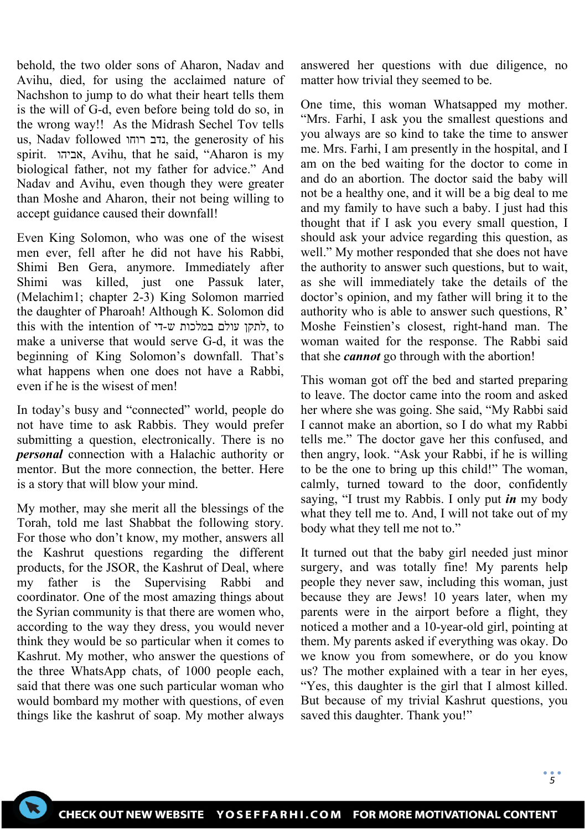behold, the two older sons of Aharon, Nadav and Avihu, died, for using the acclaimed nature of Nachshon to jump to do what their heart tells them is the will of G-d, even before being told do so, in the wrong way!! As the Midrash Sechel Tov tells us, Nadav followed רוחו נדב, the generosity of his spirit. אביהו, Avihu, that he said, "Aharon is my biological father, not my father for advice." And Nadav and Avihu, even though they were greater than Moshe and Aharon, their not being willing to accept guidance caused their downfall!

Even King Solomon, who was one of the wisest men ever, fell after he did not have his Rabbi, Shimi Ben Gera, anymore. Immediately after Shimi was killed, just one Passuk later, (Melachim1; chapter 2-3) King Solomon married the daughter of Pharoah! Although K. Solomon did this with the intention of די-ש-די, to make a universe that would serve G-d, it was the beginning of King Solomon's downfall. That's what happens when one does not have a Rabbi, even if he is the wisest of men!

In today's busy and "connected" world, people do not have time to ask Rabbis. They would prefer submitting a question, electronically. There is no *personal* connection with a Halachic authority or mentor. But the more connection, the better. Here is a story that will blow your mind.

My mother, may she merit all the blessings of the Torah, told me last Shabbat the following story. For those who don't know, my mother, answers all the Kashrut questions regarding the different products, for the JSOR, the Kashrut of Deal, where my father is the Supervising Rabbi and coordinator. One of the most amazing things about the Syrian community is that there are women who, according to the way they dress, you would never think they would be so particular when it comes to Kashrut. My mother, who answer the questions of the three WhatsApp chats, of 1000 people each, said that there was one such particular woman who would bombard my mother with questions, of even things like the kashrut of soap. My mother always

answered her questions with due diligence, no matter how trivial they seemed to be.

One time, this woman Whatsapped my mother. "Mrs. Farhi, I ask you the smallest questions and you always are so kind to take the time to answer me. Mrs. Farhi, I am presently in the hospital, and I am on the bed waiting for the doctor to come in and do an abortion. The doctor said the baby will not be a healthy one, and it will be a big deal to me and my family to have such a baby. I just had this thought that if I ask you every small question, I should ask your advice regarding this question, as well." My mother responded that she does not have the authority to answer such questions, but to wait, as she will immediately take the details of the doctor's opinion, and my father will bring it to the authority who is able to answer such questions, R' Moshe Feinstien's closest, right-hand man. The woman waited for the response. The Rabbi said that she *cannot* go through with the abortion!

This woman got off the bed and started preparing to leave. The doctor came into the room and asked her where she was going. She said, "My Rabbi said I cannot make an abortion, so I do what my Rabbi tells me." The doctor gave her this confused, and then angry, look. "Ask your Rabbi, if he is willing to be the one to bring up this child!" The woman, calmly, turned toward to the door, confidently saying, "I trust my Rabbis. I only put *in* my body what they tell me to. And, I will not take out of my body what they tell me not to."

It turned out that the baby girl needed just minor surgery, and was totally fine! My parents help people they never saw, including this woman, just because they are Jews! 10 years later, when my parents were in the airport before a flight, they noticed a mother and a 10-year-old girl, pointing at them. My parents asked if everything was okay. Do we know you from somewhere, or do you know us? The mother explained with a tear in her eyes, "Yes, this daughter is the girl that I almost killed. But because of my trivial Kashrut questions, you saved this daughter. Thank you!"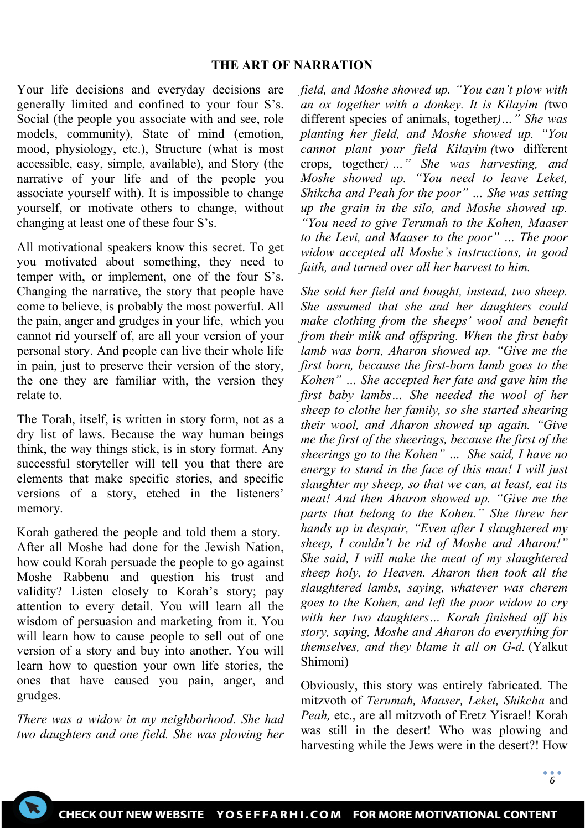#### **THE ART OF NARRATION**

Your life decisions and everyday decisions are generally limited and confined to your four S's. Social (the people you associate with and see, role models, community), State of mind (emotion, mood, physiology, etc.), Structure (what is most accessible, easy, simple, available), and Story (the narrative of your life and of the people you associate yourself with). It is impossible to change yourself, or motivate others to change, without changing at least one of these four S's.

All motivational speakers know this secret. To get you motivated about something, they need to temper with, or implement, one of the four S's. Changing the narrative, the story that people have come to believe, is probably the most powerful. All the pain, anger and grudges in your life, which you cannot rid yourself of, are all your version of your personal story. And people can live their whole life in pain, just to preserve their version of the story, the one they are familiar with, the version they relate to.

The Torah, itself, is written in story form, not as a dry list of laws. Because the way human beings think, the way things stick, is in story format. Any successful storyteller will tell you that there are elements that make specific stories, and specific versions of a story, etched in the listeners' memory.

Korah gathered the people and told them a story. After all Moshe had done for the Jewish Nation, how could Korah persuade the people to go against Moshe Rabbenu and question his trust and validity? Listen closely to Korah's story; pay attention to every detail. You will learn all the wisdom of persuasion and marketing from it. You will learn how to cause people to sell out of one version of a story and buy into another. You will learn how to question your own life stories, the ones that have caused you pain, anger, and grudges.

*There was a widow in my neighborhood. She had two daughters and one field. She was plowing her*  *field, and Moshe showed up. "You can't plow with an ox together with a donkey. It is Kilayim (*two different species of animals, together*)…" She was planting her field, and Moshe showed up. "You cannot plant your field Kilayim (*two different crops, together*) …" She was harvesting, and Moshe showed up. "You need to leave Leket, Shikcha and Peah for the poor" … She was setting up the grain in the silo, and Moshe showed up. "You need to give Terumah to the Kohen, Maaser to the Levi, and Maaser to the poor" … The poor widow accepted all Moshe's instructions, in good faith, and turned over all her harvest to him.*

*She sold her field and bought, instead, two sheep. She assumed that she and her daughters could make clothing from the sheeps' wool and benefit from their milk and offspring. When the first baby lamb was born, Aharon showed up. "Give me the first born, because the first-born lamb goes to the Kohen" … She accepted her fate and gave him the first baby lambs… She needed the wool of her sheep to clothe her family, so she started shearing their wool, and Aharon showed up again. "Give me the first of the sheerings, because the first of the sheerings go to the Kohen" … She said, I have no energy to stand in the face of this man! I will just slaughter my sheep, so that we can, at least, eat its meat! And then Aharon showed up. "Give me the parts that belong to the Kohen." She threw her hands up in despair, "Even after I slaughtered my sheep, I couldn't be rid of Moshe and Aharon!" She said, I will make the meat of my slaughtered sheep holy, to Heaven. Aharon then took all the slaughtered lambs, saying, whatever was cherem goes to the Kohen, and left the poor widow to cry with her two daughters… Korah finished off his story, saying, Moshe and Aharon do everything for themselves, and they blame it all on G-d.* (Yalkut Shimoni)

Obviously, this story was entirely fabricated. The mitzvoth of *Terumah, Maaser, Leket, Shikcha* and *Peah,* etc., are all mitzvoth of Eretz Yisrael! Korah was still in the desert! Who was plowing and harvesting while the Jews were in the desert?! How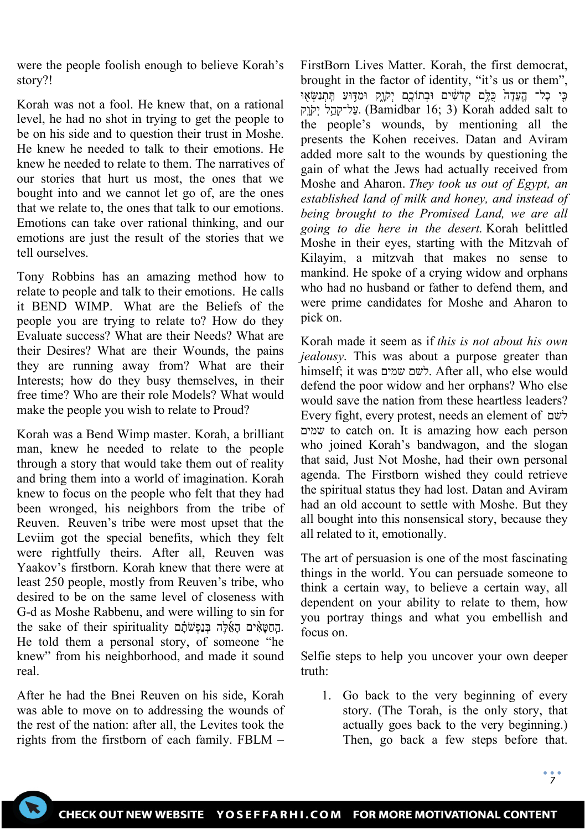were the people foolish enough to believe Korah's story?!

Korah was not a fool. He knew that, on a rational level, he had no shot in trying to get the people to be on his side and to question their trust in Moshe. He knew he needed to talk to their emotions. He knew he needed to relate to them. The narratives of our stories that hurt us most, the ones that we bought into and we cannot let go of, are the ones that we relate to, the ones that talk to our emotions. Emotions can take over rational thinking, and our emotions are just the result of the stories that we tell ourselves.

Tony Robbins has an amazing method how to relate to people and talk to their emotions. He calls it BEND WIMP. What are the Beliefs of the people you are trying to relate to? How do they Evaluate success? What are their Needs? What are their Desires? What are their Wounds, the pains they are running away from? What are their Interests; how do they busy themselves, in their free time? Who are their role Models? What would make the people you wish to relate to Proud?

Korah was a Bend Wimp master. Korah, a brilliant man, knew he needed to relate to the people through a story that would take them out of reality and bring them into a world of imagination. Korah knew to focus on the people who felt that they had been wronged, his neighbors from the tribe of Reuven. Reuven's tribe were most upset that the Leviim got the special benefits, which they felt were rightfully theirs. After all, Reuven was Yaakov's firstborn. Korah knew that there were at least 250 people, mostly from Reuven's tribe, who desired to be on the same level of closeness with G-d as Moshe Rabbenu, and were willing to sin for .הַחַטְאִים הָאוֹה בּוַפְשׁׁתֹם שִׁמְה בּוֹפְ the sake of their spirituality He told them a personal story, of someone "he knew" from his neighborhood, and made it sound real.

After he had the Bnei Reuven on his side, Korah was able to move on to addressing the wounds of the rest of the nation: after all, the Levites took the rights from the firstborn of each family. FBLM –

FirstBorn Lives Matter. Korah, the first democrat, brought in the factor of identity, "it's us or them", ּכֵּי כַל־ הַעֲדָה כִּלֵּם קָדֹשִׁים וּבְתוֹכֵם יִקוֵק וּמַדְּוּעַ תִּתְנַשָּׂאָוּ יִקְהָל יְקָנֶק (Bamidbar 16; 3) Korah added salt to the people's wounds, by mentioning all the presents the Kohen receives. Datan and Aviram added more salt to the wounds by questioning the gain of what the Jews had actually received from Moshe and Aharon. *They took us out of Egypt, an established land of milk and honey, and instead of being brought to the Promised Land, we are all going to die here in the desert.* Korah belittled Moshe in their eyes, starting with the Mitzvah of Kilayim, a mitzvah that makes no sense to mankind. He spoke of a crying widow and orphans who had no husband or father to defend them, and were prime candidates for Moshe and Aharon to pick on.

Korah made it seem as if *this is not about his own jealousy*. This was about a purpose greater than himself; it was שמים לשם. After all, who else would defend the poor widow and her orphans? Who else would save the nation from these heartless leaders? Every fight, every protest, needs an element of לשם שמים to catch on. It is amazing how each person who joined Korah's bandwagon, and the slogan that said, Just Not Moshe, had their own personal agenda. The Firstborn wished they could retrieve the spiritual status they had lost. Datan and Aviram had an old account to settle with Moshe. But they all bought into this nonsensical story, because they all related to it, emotionally.

The art of persuasion is one of the most fascinating things in the world. You can persuade someone to think a certain way, to believe a certain way, all dependent on your ability to relate to them, how you portray things and what you embellish and focus on.

Selfie steps to help you uncover your own deeper truth:

1. Go back to the very beginning of every story. (The Torah, is the only story, that actually goes back to the very beginning.) Then, go back a few steps before that.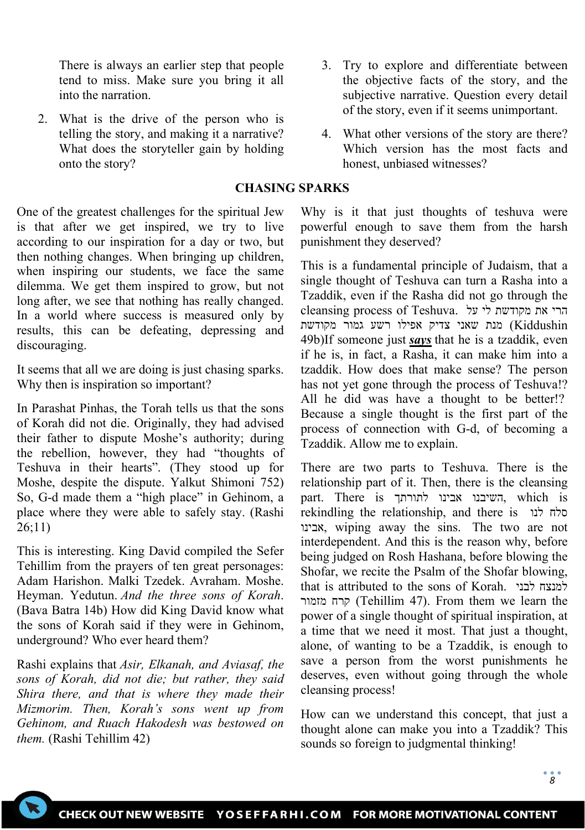There is always an earlier step that people tend to miss. Make sure you bring it all into the narration.

2. What is the drive of the person who is telling the story, and making it a narrative? What does the storyteller gain by holding onto the story?

## **CHASING SPARKS**

One of the greatest challenges for the spiritual Jew is that after we get inspired, we try to live according to our inspiration for a day or two, but then nothing changes. When bringing up children, when inspiring our students, we face the same dilemma. We get them inspired to grow, but not long after, we see that nothing has really changed. In a world where success is measured only by results, this can be defeating, depressing and discouraging.

It seems that all we are doing is just chasing sparks. Why then is inspiration so important?

In Parashat Pinhas, the Torah tells us that the sons of Korah did not die. Originally, they had advised their father to dispute Moshe's authority; during the rebellion, however, they had "thoughts of Teshuva in their hearts". (They stood up for Moshe, despite the dispute. Yalkut Shimoni 752) So, G-d made them a "high place" in Gehinom, a place where they were able to safely stay. (Rashi 26;11)

This is interesting. King David compiled the Sefer Tehillim from the prayers of ten great personages: Adam Harishon. Malki Tzedek. Avraham. Moshe. Heyman. Yedutun. *And the three sons of Korah*. (Bava Batra 14b) How did King David know what the sons of Korah said if they were in Gehinom, underground? Who ever heard them?

Rashi explains that *Asir, Elkanah, and Aviasaf, the sons of Korah, did not die; but rather, they said Shira there, and that is where they made their Mizmorim. Then, Korah's sons went up from Gehinom, and Ruach Hakodesh was bestowed on them.* (Rashi Tehillim 42)

- 3. Try to explore and differentiate between the objective facts of the story, and the subjective narrative. Question every detail of the story, even if it seems unimportant.
- 4. What other versions of the story are there? Which version has the most facts and honest, unbiased witnesses?

Why is it that just thoughts of teshuva were powerful enough to save them from the harsh punishment they deserved?

This is a fundamental principle of Judaism, that a single thought of Teshuva can turn a Rasha into a Tzaddik, even if the Rasha did not go through the הרי את מקודשת לי על .cleansing process of Teshuva Kiddushin (מנת שאני צדיק אפילו רשע גמור מקודשת 49b)If someone just *says* that he is a tzaddik, even if he is, in fact, a Rasha, it can make him into a tzaddik. How does that make sense? The person has not yet gone through the process of Teshuva!? All he did was have a thought to be better!? Because a single thought is the first part of the process of connection with G-d, of becoming a Tzaddik. Allow me to explain.

There are two parts to Teshuva. There is the relationship part of it. Then, there is the cleansing part. There is לתורתך אבינו השיבנו, which is rekindling the relationship, and there is לנו סלח אבינו, wiping away the sins. The two are not interdependent. And this is the reason why, before being judged on Rosh Hashana, before blowing the Shofar, we recite the Psalm of the Shofar blowing, that is attributed to the sons of Korah. לבני למנצח מזמור קרח) Tehillim 47). From them we learn the power of a single thought of spiritual inspiration, at a time that we need it most. That just a thought, alone, of wanting to be a Tzaddik, is enough to save a person from the worst punishments he deserves, even without going through the whole cleansing process!

How can we understand this concept, that just a thought alone can make you into a Tzaddik? This sounds so foreign to judgmental thinking!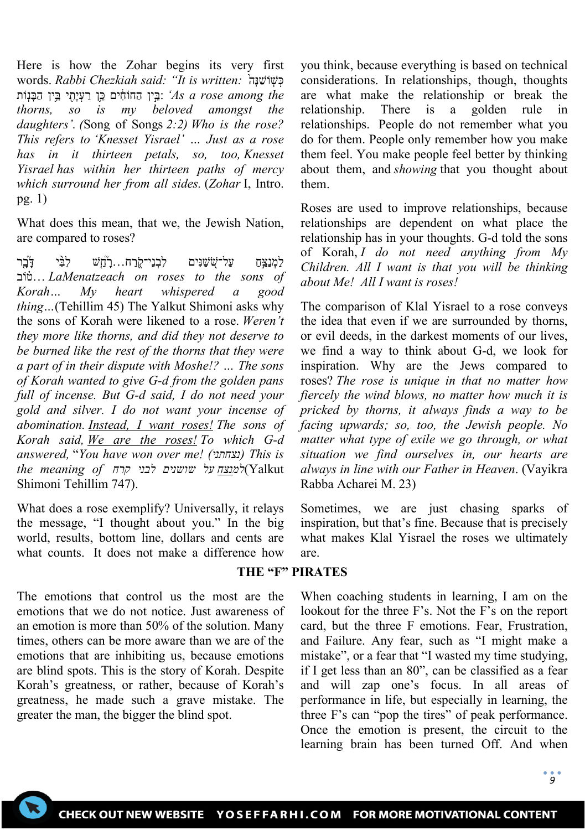Here is how the Zohar begins its very first words. *Rabbi Chezkiah said: "It is written: בִּ*יֹשְׁנָּה יִבֵּין הַחוֹחִים כֵּוּ רַעֲיַתִּי בֵּין הַבְּנָוֹת *As a rose among the thorns, so is my beloved amongst the daughters'. (*Song of Songs *2:2) Who is the rose? This refers to 'Knesset Yisrael' … Just as a rose has in it thirteen petals, so, too, Knesset Yisrael has within her thirteen paths of mercy which surround her from all sides.* (*Zohar* I, Intro. pg. 1)

What does this mean, that we, the Jewish Nation, are compared to roses?

לַמְנַצֵּחַ עַל־שִׁשַׁנִּים לִבְנֵי־קַׂרַח...רָדְ*ֿוָשׁ* לִבִּ֫י דָּבֶּר וֹב ֗ט ...*LaMenatzeach on roses to the sons of Korah… My heart whispered a good thing…*(Tehillim 45) The Yalkut Shimoni asks why the sons of Korah were likened to a rose. *Weren't they more like thorns, and did they not deserve to be burned like the rest of the thorns that they were a part of in their dispute with Moshe!? … The sons of Korah wanted to give G-d from the golden pans full of incense. But G-d said, I do not need your gold and silver. I do not want your incense of abomination. Instead, I want roses! The sons of Korah said, We are the roses! To which G-d answered,* "*You have won over me! (נצחתני (This is*  Yalkut(*למנצח על שושנים לבני קרח of meaning the* Shimoni Tehillim 747).

What does a rose exemplify? Universally, it relays the message, "I thought about you." In the big world, results, bottom line, dollars and cents are what counts. It does not make a difference how

greater the man, the bigger the blind spot.

you think, because everything is based on technical considerations. In relationships, though, thoughts are what make the relationship or break the relationship. There is a golden rule in relationships. People do not remember what you do for them. People only remember how you make them feel. You make people feel better by thinking about them, and *showing* that you thought about them.

Roses are used to improve relationships, because relationships are dependent on what place the relationship has in your thoughts. G-d told the sons of Korah, *I do not need anything from My Children. All I want is that you will be thinking about Me! All I want is roses!*

The comparison of Klal Yisrael to a rose conveys the idea that even if we are surrounded by thorns, or evil deeds, in the darkest moments of our lives, we find a way to think about G-d, we look for inspiration. Why are the Jews compared to roses? *The rose is unique in that no matter how fiercely the wind blows, no matter how much it is pricked by thorns, it always finds a way to be facing upwards; so, too, the Jewish people. No matter what type of exile we go through, or what situation we find ourselves in, our hearts are always in line with our Father in Heaven*. (Vayikra Rabba Acharei M. 23)

Sometimes, we are just chasing sparks of inspiration, but that's fine. Because that is precisely what makes Klal Yisrael the roses we ultimately are.

### **THE "F" PIRATES**

The emotions that control us the most are the emotions that we do not notice. Just awareness of an emotion is more than 50% of the solution. Many times, others can be more aware than we are of the emotions that are inhibiting us, because emotions are blind spots. This is the story of Korah. Despite Korah's greatness, or rather, because of Korah's greatness, he made such a grave mistake. The When coaching students in learning, I am on the lookout for the three F's. Not the F's on the report card, but the three F emotions. Fear, Frustration, and Failure. Any fear, such as "I might make a mistake", or a fear that "I wasted my time studying, if I get less than an 80", can be classified as a fear and will zap one's focus. In all areas of performance in life, but especially in learning, the three F's can "pop the tires" of peak performance. Once the emotion is present, the circuit to the learning brain has been turned Off. And when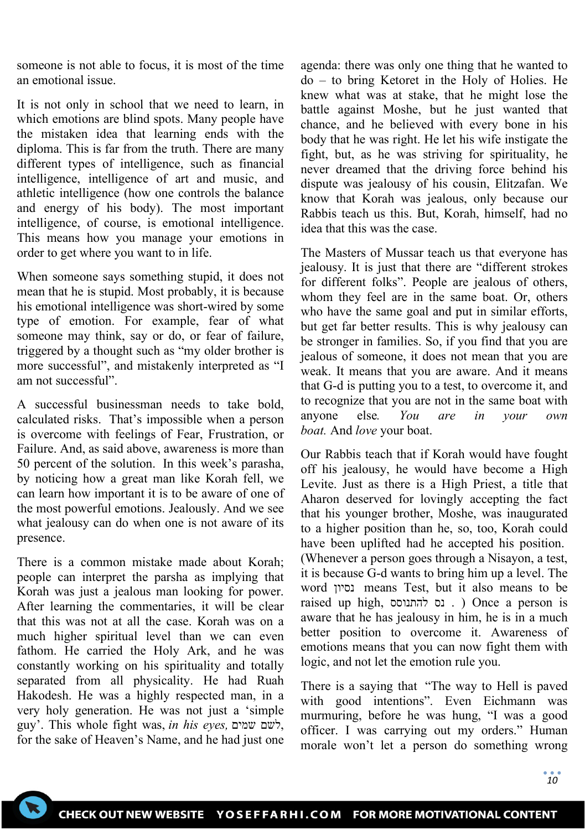someone is not able to focus, it is most of the time an emotional issue.

It is not only in school that we need to learn, in which emotions are blind spots. Many people have the mistaken idea that learning ends with the diploma. This is far from the truth. There are many different types of intelligence, such as financial intelligence, intelligence of art and music, and athletic intelligence (how one controls the balance and energy of his body). The most important intelligence, of course, is emotional intelligence. This means how you manage your emotions in order to get where you want to in life.

When someone says something stupid, it does not mean that he is stupid. Most probably, it is because his emotional intelligence was short-wired by some type of emotion. For example, fear of what someone may think, say or do, or fear of failure, triggered by a thought such as "my older brother is more successful", and mistakenly interpreted as "I am not successful".

A successful businessman needs to take bold, calculated risks. That's impossible when a person is overcome with feelings of Fear, Frustration, or Failure. And, as said above, awareness is more than 50 percent of the solution. In this week's parasha, by noticing how a great man like Korah fell, we can learn how important it is to be aware of one of the most powerful emotions. Jealously. And we see what jealousy can do when one is not aware of its presence.

There is a common mistake made about Korah; people can interpret the parsha as implying that Korah was just a jealous man looking for power. After learning the commentaries, it will be clear that this was not at all the case. Korah was on a much higher spiritual level than we can even fathom. He carried the Holy Ark, and he was constantly working on his spirituality and totally separated from all physicality. He had Ruah Hakodesh. He was a highly respected man, in a very holy generation. He was not just a 'simple guy'. This whole fight was, *in his eyes,* שמים לשם, for the sake of Heaven's Name, and he had just one

agenda: there was only one thing that he wanted to do – to bring Ketoret in the Holy of Holies. He knew what was at stake, that he might lose the battle against Moshe, but he just wanted that chance, and he believed with every bone in his body that he was right. He let his wife instigate the fight, but, as he was striving for spirituality, he never dreamed that the driving force behind his dispute was jealousy of his cousin, Elitzafan. We know that Korah was jealous, only because our Rabbis teach us this. But, Korah, himself, had no idea that this was the case.

The Masters of Mussar teach us that everyone has jealousy. It is just that there are "different strokes for different folks". People are jealous of others, whom they feel are in the same boat. Or, others who have the same goal and put in similar efforts, but get far better results. This is why jealousy can be stronger in families. So, if you find that you are jealous of someone, it does not mean that you are weak. It means that you are aware. And it means that G-d is putting you to a test, to overcome it, and to recognize that you are not in the same boat with anyone else*. You are in your own boat.* And *love* your boat.

Our Rabbis teach that if Korah would have fought off his jealousy, he would have become a High Levite. Just as there is a High Priest, a title that Aharon deserved for lovingly accepting the fact that his younger brother, Moshe, was inaugurated to a higher position than he, so, too, Korah could have been uplifted had he accepted his position. (Whenever a person goes through a Nisayon, a test, it is because G-d wants to bring him up a level. The word נסיון means Test, but it also means to be raised up high, להתנוסס נס . ( Once a person is aware that he has jealousy in him, he is in a much better position to overcome it. Awareness of emotions means that you can now fight them with logic, and not let the emotion rule you.

There is a saying that "The way to Hell is paved with good intentions". Even Eichmann was murmuring, before he was hung, "I was a good officer. I was carrying out my orders." Human morale won't let a person do something wrong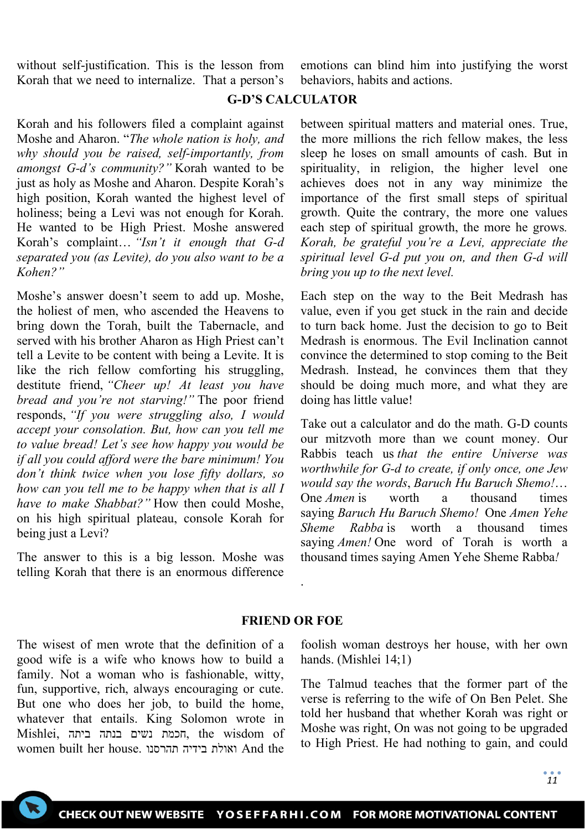without self-justification. This is the lesson from Korah that we need to internalize. That a person's

emotions can blind him into justifying the worst behaviors, habits and actions.

#### **G-D'S CALCULATOR**

Korah and his followers filed a complaint against Moshe and Aharon. "*The whole nation is holy, and why should you be raised, self-importantly, from amongst G-d's community?"* Korah wanted to be just as holy as Moshe and Aharon. Despite Korah's high position, Korah wanted the highest level of holiness; being a Levi was not enough for Korah. He wanted to be High Priest. Moshe answered Korah's complaint… *"Isn't it enough that G-d separated you (as Levite), do you also want to be a Kohen?"*

Moshe's answer doesn't seem to add up. Moshe, the holiest of men, who ascended the Heavens to bring down the Torah, built the Tabernacle, and served with his brother Aharon as High Priest can't tell a Levite to be content with being a Levite. It is like the rich fellow comforting his struggling, destitute friend, *"Cheer up! At least you have bread and you're not starving!"* The poor friend responds, *"If you were struggling also, I would accept your consolation. But, how can you tell me to value bread! Let's see how happy you would be if all you could afford were the bare minimum! You don't think twice when you lose fifty dollars, so how can you tell me to be happy when that is all I have to make Shabbat?"* How then could Moshe, on his high spiritual plateau, console Korah for being just a Levi?

The answer to this is a big lesson. Moshe was telling Korah that there is an enormous difference

between spiritual matters and material ones. True, the more millions the rich fellow makes, the less sleep he loses on small amounts of cash. But in spirituality, in religion, the higher level one achieves does not in any way minimize the importance of the first small steps of spiritual growth. Quite the contrary, the more one values each step of spiritual growth, the more he grows*. Korah, be grateful you're a Levi, appreciate the spiritual level G-d put you on, and then G-d will bring you up to the next level.*

Each step on the way to the Beit Medrash has value, even if you get stuck in the rain and decide to turn back home. Just the decision to go to Beit Medrash is enormous. The Evil Inclination cannot convince the determined to stop coming to the Beit Medrash. Instead, he convinces them that they should be doing much more, and what they are doing has little value!

Take out a calculator and do the math. G-D counts our mitzvoth more than we count money. Our Rabbis teach us *that the entire Universe was worthwhile for G-d to create, if only once, one Jew would say the words*, *Baruch Hu Baruch Shemo!*… One *Amen* is worth a thousand times saying *Baruch Hu Baruch Shemo!* One *Amen Yehe Sheme Rabba* is worth a thousand times saying *Amen!* One word of Torah is worth a thousand times saying Amen Yehe Sheme Rabba*!*

### **FRIEND OR FOE**

.

The wisest of men wrote that the definition of a good wife is a wife who knows how to build a family. Not a woman who is fashionable, witty, fun, supportive, rich, always encouraging or cute. But one who does her job, to build the home, whatever that entails. King Solomon wrote in Mishlei, הכמת נשים בנתה ביתה ,the wisdom of women built her house. תהרסנו בידיה ואולת And the

foolish woman destroys her house, with her own hands. (Mishlei 14;1)

The Talmud teaches that the former part of the verse is referring to the wife of On Ben Pelet. She told her husband that whether Korah was right or Moshe was right, On was not going to be upgraded to High Priest. He had nothing to gain, and could

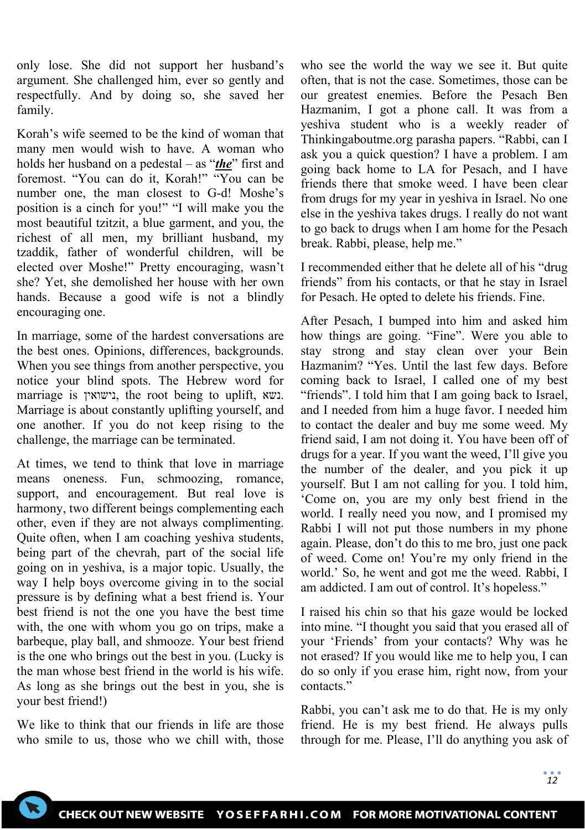only lose. She did not support her husband's argument. She challenged him, ever so gently and respectfully. And by doing so, she saved her family.

Korah's wife seemed to be the kind of woman that many men would wish to have. A woman who holds her husband on a pedestal – as "*the*" first and foremost. "You can do it, Korah!" "You can be number one, the man closest to G-d! Moshe's position is a cinch for you!" "I will make you the most beautiful tzitzit, a blue garment, and you, the richest of all men, my brilliant husband, my tzaddik, father of wonderful children, will be elected over Moshe!" Pretty encouraging, wasn't she? Yet, she demolished her house with her own hands. Because a good wife is not a blindly encouraging one.

In marriage, some of the hardest conversations are the best ones. Opinions, differences, backgrounds. When you see things from another perspective, you notice your blind spots. The Hebrew word for marriage is נישואין, the root being to uplift, נשא. Marriage is about constantly uplifting yourself, and one another. If you do not keep rising to the challenge, the marriage can be terminated.

At times, we tend to think that love in marriage means oneness. Fun, schmoozing, romance, support, and encouragement. But real love is harmony, two different beings complementing each other, even if they are not always complimenting. Quite often, when I am coaching yeshiva students, being part of the chevrah, part of the social life going on in yeshiva, is a major topic. Usually, the way I help boys overcome giving in to the social pressure is by defining what a best friend is. Your best friend is not the one you have the best time with, the one with whom you go on trips, make a barbeque, play ball, and shmooze. Your best friend is the one who brings out the best in you. (Lucky is the man whose best friend in the world is his wife. As long as she brings out the best in you, she is your best friend!)

We like to think that our friends in life are those who smile to us, those who we chill with, those who see the world the way we see it. But quite often, that is not the case. Sometimes, those can be our greatest enemies. Before the Pesach Ben Hazmanim, I got a phone call. It was from a yeshiva student who is a weekly reader of Thinkingaboutme.org parasha papers. "Rabbi, can I ask you a quick question? I have a problem. I am going back home to LA for Pesach, and I have friends there that smoke weed. I have been clear from drugs for my year in yeshiva in Israel. No one else in the yeshiva takes drugs. I really do not want to go back to drugs when I am home for the Pesach break. Rabbi, please, help me."

I recommended either that he delete all of his "drug friends" from his contacts, or that he stay in Israel for Pesach. He opted to delete his friends. Fine.

After Pesach, I bumped into him and asked him how things are going. "Fine". Were you able to stay strong and stay clean over your Bein Hazmanim? "Yes. Until the last few days. Before coming back to Israel, I called one of my best "friends". I told him that I am going back to Israel, and I needed from him a huge favor. I needed him to contact the dealer and buy me some weed. My friend said, I am not doing it. You have been off of drugs for a year. If you want the weed, I'll give you the number of the dealer, and you pick it up yourself. But I am not calling for you. I told him, 'Come on, you are my only best friend in the world. I really need you now, and I promised my Rabbi I will not put those numbers in my phone again. Please, don't do this to me bro, just one pack of weed. Come on! You're my only friend in the world.' So, he went and got me the weed. Rabbi, I am addicted. I am out of control. It's hopeless."

I raised his chin so that his gaze would be locked into mine. "I thought you said that you erased all of your 'Friends' from your contacts? Why was he not erased? If you would like me to help you, I can do so only if you erase him, right now, from your contacts."

Rabbi, you can't ask me to do that. He is my only friend. He is my best friend. He always pulls through for me. Please, I'll do anything you ask of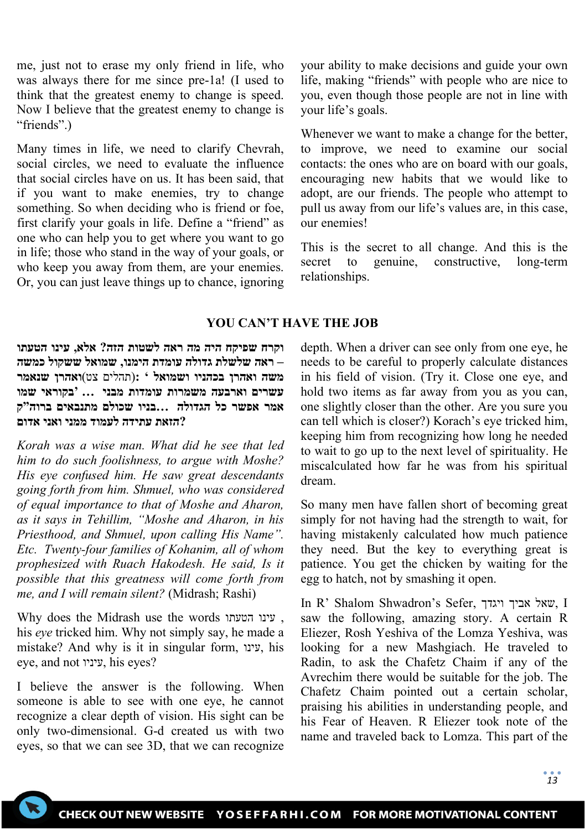me, just not to erase my only friend in life, who was always there for me since pre-1a! (I used to think that the greatest enemy to change is speed. Now I believe that the greatest enemy to change is "friends".)

Many times in life, we need to clarify Chevrah, social circles, we need to evaluate the influence that social circles have on us. It has been said, that if you want to make enemies, try to change something. So when deciding who is friend or foe, first clarify your goals in life. Define a "friend" as one who can help you to get where you want to go in life; those who stand in the way of your goals, or who keep you away from them, are your enemies. Or, you can just leave things up to chance, ignoring your ability to make decisions and guide your own life, making "friends" with people who are nice to you, even though those people are not in line with your life's goals.

Whenever we want to make a change for the better, to improve, we need to examine our social contacts: the ones who are on board with our goals, encouraging new habits that we would like to adopt, are our friends. The people who attempt to pull us away from our life's values are, in this case, our enemies!

This is the secret to all change. And this is the secret to genuine, constructive, long-term relationships.

### **YOU CAN'T HAVE THE JOB**

**וקרח שפיקח היה מה ראה לשטות הזה? אלא, עינו הטעתו – ראה שלשלת גדולה עומדת הימנו, שמואל ששקול כמשה משה ואהרן בכהניו ושמואל ' :**(תהלים צט )**ואהרן שנאמר עשרים וארבעה משמרות עומדות מבני ... 'בקוראי שמו אמר אפשר כל הגדולה ...בניו שכולם מתנבאים ברוה"ק ?הזאת עתידה לעמוד ממני ואני אדום**

*Korah was a wise man. What did he see that led him to do such foolishness, to argue with Moshe? His eye confused him. He saw great descendants going forth from him. Shmuel, who was considered of equal importance to that of Moshe and Aharon, as it says in Tehillim, "Moshe and Aharon, in his Priesthood, and Shmuel, upon calling His Name". Etc. Twenty-four families of Kohanim, all of whom prophesized with Ruach Hakodesh. He said, Is it possible that this greatness will come forth from me, and I will remain silent?* (Midrash; Rashi)

Why does the Midrash use the words הטעתו עינו , his *eye* tricked him. Why not simply say, he made a mistake? And why is it in singular form, עינו, his eye, and not עיניו, his eyes?

I believe the answer is the following. When someone is able to see with one eye, he cannot recognize a clear depth of vision. His sight can be only two-dimensional. G-d created us with two eyes, so that we can see 3D, that we can recognize

depth. When a driver can see only from one eye, he needs to be careful to properly calculate distances in his field of vision. (Try it. Close one eye, and hold two items as far away from you as you can, one slightly closer than the other. Are you sure you can tell which is closer?) Korach's eye tricked him, keeping him from recognizing how long he needed to wait to go up to the next level of spirituality. He miscalculated how far he was from his spiritual dream.

So many men have fallen short of becoming great simply for not having had the strength to wait, for having mistakenly calculated how much patience they need. But the key to everything great is patience. You get the chicken by waiting for the egg to hatch, not by smashing it open.

In R' Shalom Shwadron's Sefer, ויגדך אביך שאל, I saw the following, amazing story. A certain R Eliezer, Rosh Yeshiva of the Lomza Yeshiva, was looking for a new Mashgiach. He traveled to Radin, to ask the Chafetz Chaim if any of the Avrechim there would be suitable for the job. The Chafetz Chaim pointed out a certain scholar, praising his abilities in understanding people, and his Fear of Heaven. R Eliezer took note of the name and traveled back to Lomza. This part of the

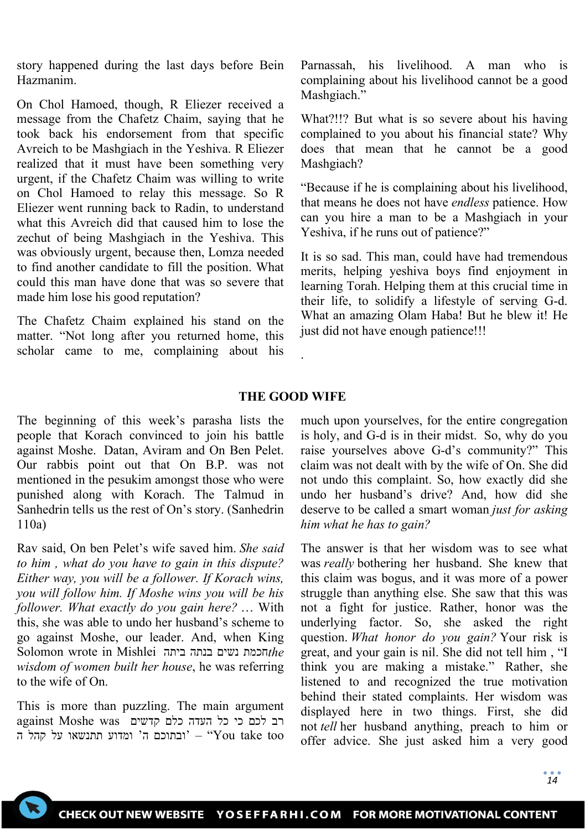story happened during the last days before Bein Hazmanim.

On Chol Hamoed, though, R Eliezer received a message from the Chafetz Chaim, saying that he took back his endorsement from that specific Avreich to be Mashgiach in the Yeshiva. R Eliezer realized that it must have been something very urgent, if the Chafetz Chaim was willing to write on Chol Hamoed to relay this message. So R Eliezer went running back to Radin, to understand what this Avreich did that caused him to lose the zechut of being Mashgiach in the Yeshiva. This was obviously urgent, because then, Lomza needed to find another candidate to fill the position. What could this man have done that was so severe that made him lose his good reputation?

The Chafetz Chaim explained his stand on the matter. "Not long after you returned home, this scholar came to me, complaining about his Parnassah, his livelihood. A man who is complaining about his livelihood cannot be a good Mashgiach."

What?!!? But what is so severe about his having complained to you about his financial state? Why does that mean that he cannot be a good Mashgiach?

"Because if he is complaining about his livelihood, that means he does not have *endless* patience. How can you hire a man to be a Mashgiach in your Yeshiva, if he runs out of patience?"

It is so sad. This man, could have had tremendous merits, helping yeshiva boys find enjoyment in learning Torah. Helping them at this crucial time in their life, to solidify a lifestyle of serving G-d. What an amazing Olam Haba! But he blew it! He just did not have enough patience!!!

### **THE GOOD WIFE**

.

The beginning of this week's parasha lists the people that Korach convinced to join his battle against Moshe. Datan, Aviram and On Ben Pelet. Our rabbis point out that On B.P. was not mentioned in the pesukim amongst those who were punished along with Korach. The Talmud in Sanhedrin tells us the rest of On's story. (Sanhedrin 110a)

Rav said, On ben Pelet's wife saved him. *She said to him , what do you have to gain in this dispute? Either way, you will be a follower. If Korach wins, you will follow him. If Moshe wins you will be his follower. What exactly do you gain here?* … With this, she was able to undo her husband's scheme to go against Moshe, our leader. And, when King Solomon wrote in Mishlei ביתה בנתה נשים חכמת*the wisdom of women built her house*, he was referring to the wife of On.

This is more than puzzling. The main argument רב לכם כי כל העדה כלם קדשים was Moshe against ובתוכם ה' ומדוע תתנשאו על קהל ה'  $\text{``You take too''}$ 

much upon yourselves, for the entire congregation is holy, and G-d is in their midst. So, why do you raise yourselves above G-d's community?" This claim was not dealt with by the wife of On. She did not undo this complaint. So, how exactly did she undo her husband's drive? And, how did she deserve to be called a smart woman *just for asking him what he has to gain?*

The answer is that her wisdom was to see what was *really* bothering her husband. She knew that this claim was bogus, and it was more of a power struggle than anything else. She saw that this was not a fight for justice. Rather, honor was the underlying factor. So, she asked the right question. *What honor do you gain?* Your risk is great, and your gain is nil. She did not tell him , "I think you are making a mistake." Rather, she listened to and recognized the true motivation behind their stated complaints. Her wisdom was displayed here in two things. First, she did not *tell* her husband anything, preach to him or offer advice. She just asked him a very good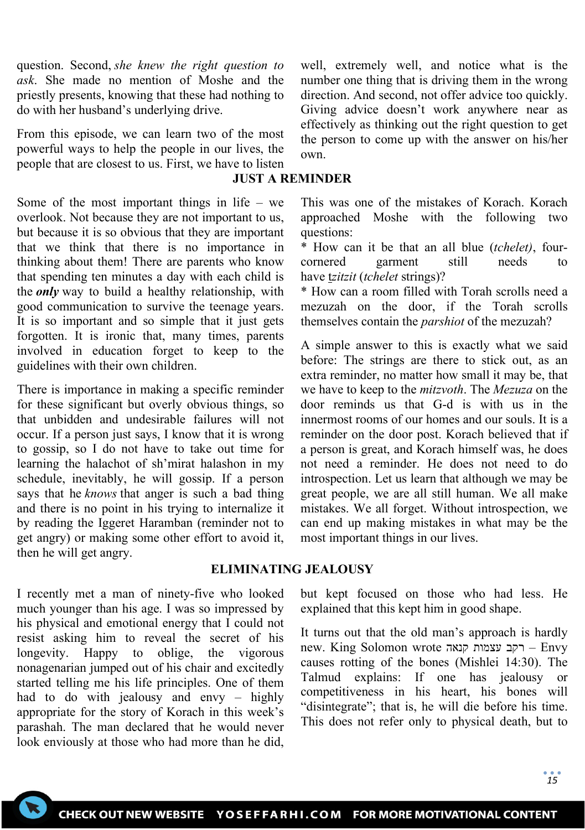question. Second, *she knew the right question to ask*. She made no mention of Moshe and the priestly presents, knowing that these had nothing to do with her husband's underlying drive.

From this episode, we can learn two of the most powerful ways to help the people in our lives, the people that are closest to us. First, we have to listen

## **JUST A REMINDER**

Some of the most important things in life – we overlook. Not because they are not important to us, but because it is so obvious that they are important that we think that there is no importance in thinking about them! There are parents who know that spending ten minutes a day with each child is the *only* way to build a healthy relationship, with good communication to survive the teenage years. It is so important and so simple that it just gets forgotten. It is ironic that, many times, parents involved in education forget to keep to the guidelines with their own children.

There is importance in making a specific reminder for these significant but overly obvious things, so that unbidden and undesirable failures will not occur. If a person just says, I know that it is wrong to gossip, so I do not have to take out time for learning the halachot of sh'mirat halashon in my schedule, inevitably, he will gossip. If a person says that he *knows* that anger is such a bad thing and there is no point in his trying to internalize it by reading the Iggeret Haramban (reminder not to get angry) or making some other effort to avoid it, then he will get angry.

well, extremely well, and notice what is the number one thing that is driving them in the wrong direction. And second, not offer advice too quickly. Giving advice doesn't work anywhere near as effectively as thinking out the right question to get the person to come up with the answer on his/her own.

This was one of the mistakes of Korach. Korach approached Moshe with the following two questions:

\* How can it be that an all blue (*tchelet)*, fourcornered garment still needs to have t*zitzit* (*tchelet* strings)?

\* How can a room filled with Torah scrolls need a mezuzah on the door, if the Torah scrolls themselves contain the *parshiot* of the mezuzah?

A simple answer to this is exactly what we said before: The strings are there to stick out, as an extra reminder, no matter how small it may be, that we have to keep to the *mitzvoth*. The *Mezuza* on the door reminds us that G-d is with us in the innermost rooms of our homes and our souls. It is a reminder on the door post. Korach believed that if a person is great, and Korach himself was, he does not need a reminder. He does not need to do introspection. Let us learn that although we may be great people, we are all still human. We all make mistakes. We all forget. Without introspection, we can end up making mistakes in what may be the most important things in our lives.

### **ELIMINATING JEALOUSY**

I recently met a man of ninety-five who looked much younger than his age. I was so impressed by his physical and emotional energy that I could not resist asking him to reveal the secret of his longevity. Happy to oblige, the vigorous nonagenarian jumped out of his chair and excitedly started telling me his life principles. One of them had to do with jealousy and envy – highly appropriate for the story of Korach in this week's parashah. The man declared that he would never look enviously at those who had more than he did,

but kept focused on those who had less. He explained that this kept him in good shape.

It turns out that the old man's approach is hardly new. King Solomon wrote קנאה עצמות רקב – Envy causes rotting of the bones (Mishlei 14:30). The Talmud explains: If one has jealousy or competitiveness in his heart, his bones will "disintegrate"; that is, he will die before his time. This does not refer only to physical death, but to

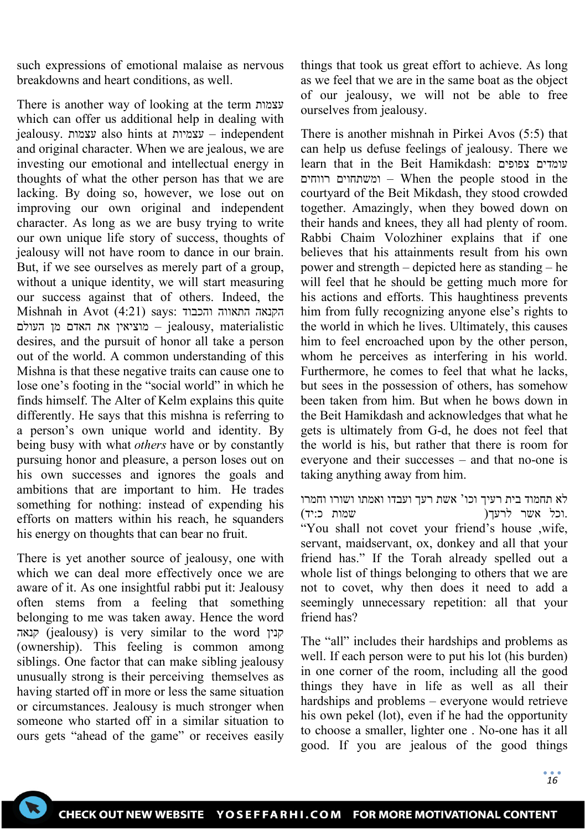such expressions of emotional malaise as nervous breakdowns and heart conditions, as well.

There is another way of looking at the term עצמות which can offer us additional help in dealing with jealousy. עצמות also hints at עצמיות – independent and original character. When we are jealous, we are investing our emotional and intellectual energy in thoughts of what the other person has that we are lacking. By doing so, however, we lose out on improving our own original and independent character. As long as we are busy trying to write our own unique life story of success, thoughts of jealousy will not have room to dance in our brain. But, if we see ourselves as merely part of a group, without a unique identity, we will start measuring our success against that of others. Indeed, the Mishnah in Avot (4:21) says: והכבוד התאווה הקנאה מוציאין את האדם מן העולם – jealousy, materialistic desires, and the pursuit of honor all take a person out of the world. A common understanding of this Mishna is that these negative traits can cause one to lose one's footing in the "social world" in which he finds himself. The Alter of Kelm explains this quite differently. He says that this mishna is referring to a person's own unique world and identity. By being busy with what *others* have or by constantly pursuing honor and pleasure, a person loses out on his own successes and ignores the goals and ambitions that are important to him. He trades something for nothing: instead of expending his efforts on matters within his reach, he squanders his energy on thoughts that can bear no fruit.

There is yet another source of jealousy, one with which we can deal more effectively once we are aware of it. As one insightful rabbi put it: Jealousy often stems from a feeling that something belonging to me was taken away. Hence the word קנאה) jealousy) is very similar to the word קנין (ownership). This feeling is common among siblings. One factor that can make sibling jealousy unusually strong is their perceiving themselves as having started off in more or less the same situation or circumstances. Jealousy is much stronger when someone who started off in a similar situation to ours gets "ahead of the game" or receives easily

things that took us great effort to achieve. As long as we feel that we are in the same boat as the object of our jealousy, we will not be able to free ourselves from jealousy.

There is another mishnah in Pirkei Avos (5:5) that can help us defuse feelings of jealousy. There we learn that in the Beit Hamikdash: צפופים עומדים רווחים ומשתחוים – When the people stood in the courtyard of the Beit Mikdash, they stood crowded together. Amazingly, when they bowed down on their hands and knees, they all had plenty of room. Rabbi Chaim Volozhiner explains that if one believes that his attainments result from his own power and strength – depicted here as standing – he will feel that he should be getting much more for his actions and efforts. This haughtiness prevents him from fully recognizing anyone else's rights to the world in which he lives. Ultimately, this causes him to feel encroached upon by the other person, whom he perceives as interfering in his world. Furthermore, he comes to feel that what he lacks, but sees in the possession of others, has somehow been taken from him. But when he bows down in the Beit Hamikdash and acknowledges that what he gets is ultimately from G-d, he does not feel that the world is his, but rather that there is room for everyone and their successes – and that no-one is taking anything away from him.

לא תחמוד בית רעיך וכו' אשת רעך ועבדו ואמתו ושורו וחמרו .וכל אשר לרעך( שמות כ:יד) "You shall not covet your friend's house ,wife, servant, maidservant, ox, donkey and all that your friend has." If the Torah already spelled out a whole list of things belonging to others that we are not to covet, why then does it need to add a seemingly unnecessary repetition: all that your friend has?

The "all" includes their hardships and problems as well. If each person were to put his lot (his burden) in one corner of the room, including all the good things they have in life as well as all their hardships and problems – everyone would retrieve his own pekel (lot), even if he had the opportunity to choose a smaller, lighter one . No-one has it all good. If you are jealous of the good things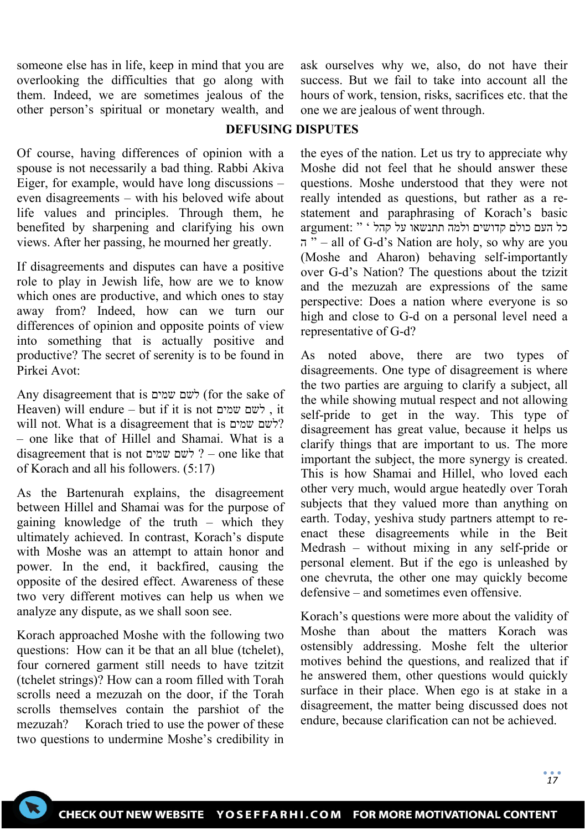someone else has in life, keep in mind that you are overlooking the difficulties that go along with them. Indeed, we are sometimes jealous of the other person's spiritual or monetary wealth, and ask ourselves why we, also, do not have their success. But we fail to take into account all the hours of work, tension, risks, sacrifices etc. that the one we are jealous of went through.

## **DEFUSING DISPUTES**

Of course, having differences of opinion with a spouse is not necessarily a bad thing. Rabbi Akiva Eiger, for example, would have long discussions – even disagreements – with his beloved wife about life values and principles. Through them, he benefited by sharpening and clarifying his own views. After her passing, he mourned her greatly.

If disagreements and disputes can have a positive role to play in Jewish life, how are we to know which ones are productive, and which ones to stay away from? Indeed, how can we turn our differences of opinion and opposite points of view into something that is actually positive and productive? The secret of serenity is to be found in Pirkei Avot:

Any disagreement that is שמים לשם) for the sake of Heaven) will endure – but if it is not שמים לשם , it will not. What is a disagreement that is שמים לשם ? – one like that of Hillel and Shamai. What is a disagreement that is not שמים לשם – ? one like that of Korach and all his followers. (5:17)

As the Bartenurah explains, the disagreement between Hillel and Shamai was for the purpose of gaining knowledge of the truth – which they ultimately achieved. In contrast, Korach's dispute with Moshe was an attempt to attain honor and power. In the end, it backfired, causing the opposite of the desired effect. Awareness of these two very different motives can help us when we analyze any dispute, as we shall soon see.

Korach approached Moshe with the following two questions: How can it be that an all blue (tchelet), four cornered garment still needs to have tzitzit (tchelet strings)? How can a room filled with Torah scrolls need a mezuzah on the door, if the Torah scrolls themselves contain the parshiot of the mezuzah? Korach tried to use the power of these two questions to undermine Moshe's credibility in

the eyes of the nation. Let us try to appreciate why Moshe did not feel that he should answer these questions. Moshe understood that they were not really intended as questions, but rather as a restatement and paraphrasing of Korach's basic כל העם כולם קדושים ולמה תתנשאו על קהל ' " :argument ה " – all of G-d's Nation are holy, so why are you (Moshe and Aharon) behaving self-importantly over G-d's Nation? The questions about the tzizit and the mezuzah are expressions of the same perspective: Does a nation where everyone is so high and close to G-d on a personal level need a representative of G-d?

As noted above, there are two types of disagreements. One type of disagreement is where the two parties are arguing to clarify a subject, all the while showing mutual respect and not allowing self-pride to get in the way. This type of disagreement has great value, because it helps us clarify things that are important to us. The more important the subject, the more synergy is created. This is how Shamai and Hillel, who loved each other very much, would argue heatedly over Torah subjects that they valued more than anything on earth. Today, yeshiva study partners attempt to reenact these disagreements while in the Beit Medrash – without mixing in any self-pride or personal element. But if the ego is unleashed by one chevruta, the other one may quickly become defensive – and sometimes even offensive.

Korach's questions were more about the validity of Moshe than about the matters Korach was ostensibly addressing. Moshe felt the ulterior motives behind the questions, and realized that if he answered them, other questions would quickly surface in their place. When ego is at stake in a disagreement, the matter being discussed does not endure, because clarification can not be achieved.